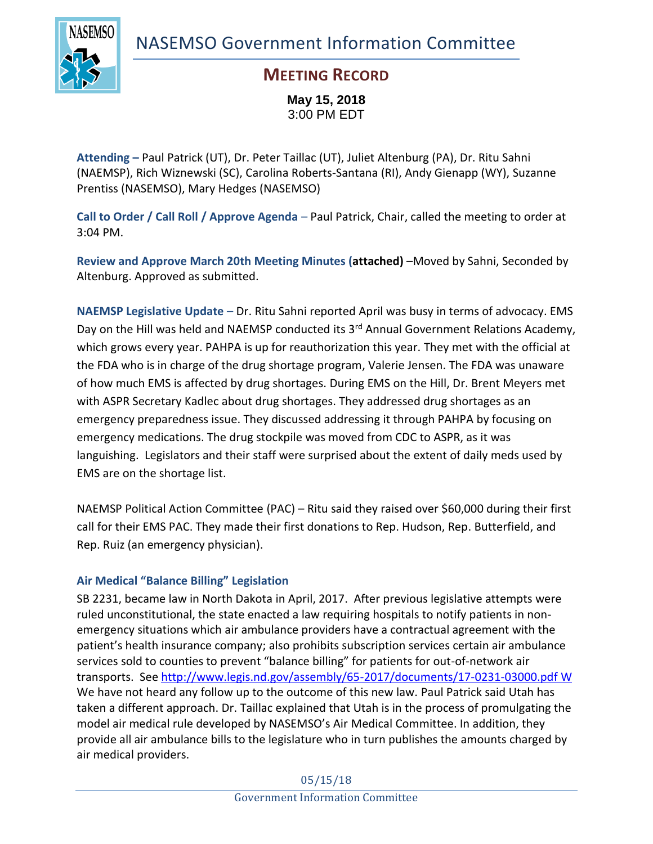NASEMSO Government Information Committee



## **MEETING RECORD**

**May 15, 2018** 3:00 PM EDT

**Attending –** Paul Patrick (UT), Dr. Peter Taillac (UT), Juliet Altenburg (PA), Dr. Ritu Sahni (NAEMSP), Rich Wiznewski (SC), Carolina Roberts-Santana (RI), Andy Gienapp (WY), Suzanne Prentiss (NASEMSO), Mary Hedges (NASEMSO)

**Call to Order / Call Roll / Approve Agenda** – Paul Patrick, Chair, called the meeting to order at 3:04 PM.

**Review and Approve March 20th Meeting Minutes (attached)** –Moved by Sahni, Seconded by Altenburg. Approved as submitted.

**NAEMSP Legislative Update** – Dr. Ritu Sahni reported April was busy in terms of advocacy. EMS Day on the Hill was held and NAEMSP conducted its 3<sup>rd</sup> Annual Government Relations Academy, which grows every year. PAHPA is up for reauthorization this year. They met with the official at the FDA who is in charge of the drug shortage program, Valerie Jensen. The FDA was unaware of how much EMS is affected by drug shortages. During EMS on the Hill, Dr. Brent Meyers met with ASPR Secretary Kadlec about drug shortages. They addressed drug shortages as an emergency preparedness issue. They discussed addressing it through PAHPA by focusing on emergency medications. The drug stockpile was moved from CDC to ASPR, as it was languishing. Legislators and their staff were surprised about the extent of daily meds used by EMS are on the shortage list.

NAEMSP Political Action Committee (PAC) – Ritu said they raised over \$60,000 during their first call for their EMS PAC. They made their first donations to Rep. Hudson, Rep. Butterfield, and Rep. Ruiz (an emergency physician).

### **Air Medical "Balance Billing" Legislation**

SB 2231, became law in North Dakota in April, 2017. After previous legislative attempts were ruled unconstitutional, the state enacted a law requiring hospitals to notify patients in nonemergency situations which air ambulance providers have a contractual agreement with the patient's health insurance company; also prohibits subscription services certain air ambulance services sold to counties to prevent "balance billing" for patients for out-of-network air transports. See<http://www.legis.nd.gov/assembly/65-2017/documents/17-0231-03000.pdf> W We have not heard any follow up to the outcome of this new law. Paul Patrick said Utah has taken a different approach. Dr. Taillac explained that Utah is in the process of promulgating the model air medical rule developed by NASEMSO's Air Medical Committee. In addition, they provide all air ambulance bills to the legislature who in turn publishes the amounts charged by air medical providers.